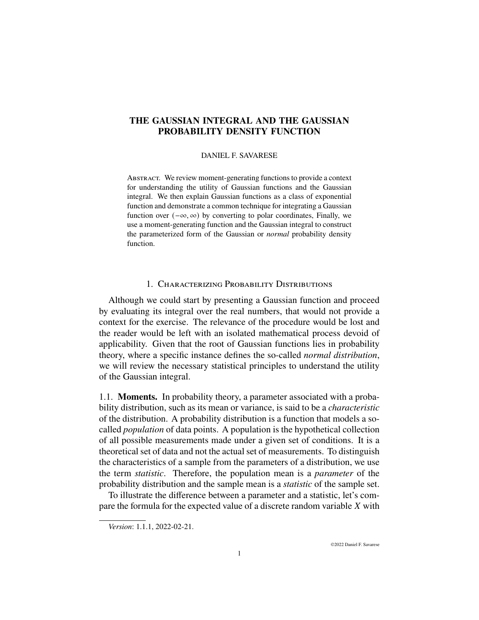# **THE GAUSSIAN INTEGRAL AND THE GAUSSIAN PROBABILITY DENSITY FUNCTION**

### DANIEL F. SAVARESE

Abstract. We review moment-generating functions to provide a context for understanding the utility of Gaussian functions and the Gaussian integral. We then explain Gaussian functions as a class of exponential function and demonstrate a common technique for integrating a Gaussian function over  $(-\infty, \infty)$  by converting to polar coordinates, Finally, we use a moment-generating function and the Gaussian integral to construct the parameterized form of the Gaussian or *normal* probability density function.

## 1. Characterizing Probability Distributions

Although we could start by presenting a Gaussian function and proceed by evaluating its integral over the real numbers, that would not provide a context for the exercise. The relevance of the procedure would be lost and the reader would be left with an isolated mathematical process devoid of applicability. Given that the root of Gaussian functions lies in probability theory, where a specific instance defines the so-called *normal distribution*, we will review the necessary statistical principles to understand the utility of the Gaussian integral.

1.1. **Moments.** In probability theory, a parameter associated with a probability distribution, such as its mean or variance, is said to be a *characteristic* of the distribution. A probability distribution is a function that models a socalled *population* of data points. A population is the hypothetical collection of all possible measurements made under a given set of conditions. It is a theoretical set of data and not the actual set of measurements. To distinguish the characteristics of a sample from the parameters of a distribution, we use the term *statistic*. Therefore, the population mean is a *parameter* of the probability distribution and the sample mean is a *statistic* of the sample set.

To illustrate the difference between a parameter and a statistic, let's compare the formula for the expected value of a discrete random variable  $X$  with

*Version*: 1.1.1, 2022-02-21.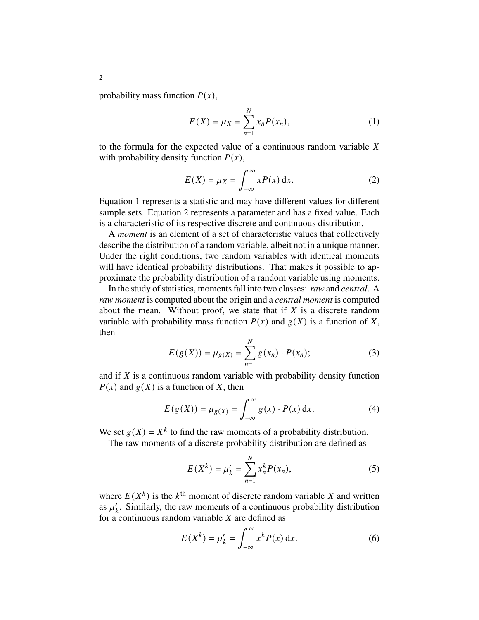probability mass function  $P(x)$ ,

$$
E(X) = \mu_X = \sum_{n=1}^{N} x_n P(x_n),
$$
 (1)

to the formula for the expected value of a continuous random variable  $X$ with probability density function  $P(x)$ ,

$$
E(X) = \mu_X = \int_{-\infty}^{\infty} xP(x) \, \mathrm{d}x. \tag{2}
$$

Equation 1 represents a statistic and may have different values for different sample sets. Equation 2 represents a parameter and has a fixed value. Each is a characteristic of its respective discrete and continuous distribution.

A *moment* is an element of a set of characteristic values that collectively describe the distribution of a random variable, albeit not in a unique manner. Under the right conditions, two random variables with identical moments will have identical probability distributions. That makes it possible to approximate the probability distribution of a random variable using moments.

In the study of statistics, moments fall into two classes: *raw*and *central*. A *raw moment* is computed about the origin and a *central moment* is computed about the mean. Without proof, we state that if  $X$  is a discrete random variable with probability mass function  $P(x)$  and  $g(X)$  is a function of X, then

$$
E(g(X)) = \mu_{g(X)} = \sum_{n=1}^{N} g(x_n) \cdot P(x_n);
$$
 (3)

and if  $X$  is a continuous random variable with probability density function  $P(x)$  and  $g(X)$  is a function of X, then

$$
E(g(X)) = \mu_{g(X)} = \int_{-\infty}^{\infty} g(x) \cdot P(x) \, \mathrm{d}x. \tag{4}
$$

We set  $g(X) = X^k$  to find the raw moments of a probability distribution.

The raw moments of a discrete probability distribution are defined as

$$
E(X^{k}) = \mu'_{k} = \sum_{n=1}^{N} x_{n}^{k} P(x_{n}),
$$
\n(5)

where  $E(X^k)$  is the  $k^{\text{th}}$  moment of discrete random variable X and written as  $\mu'_k$ . Similarly, the raw moments of a continuous probability distribution for a continuous random variable  $X$  are defined as

$$
E(X^{k}) = \mu'_{k} = \int_{-\infty}^{\infty} x^{k} P(x) dx.
$$
 (6)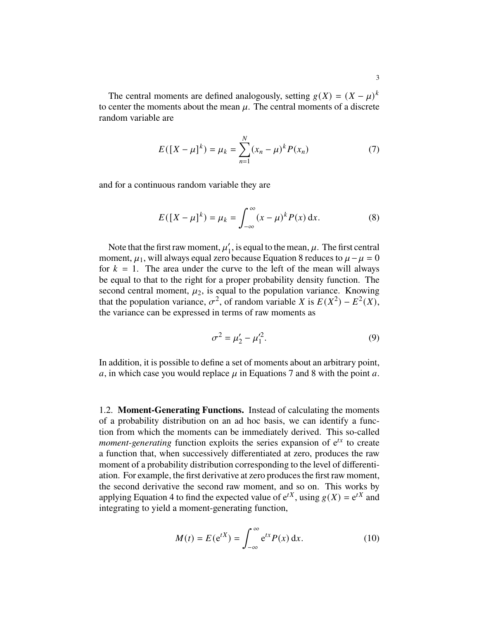The central moments are defined analogously, setting  $g(X) = (X - \mu)^k$ to center the moments about the mean  $\mu$ . The central moments of a discrete random variable are

$$
E([X - \mu]^k) = \mu_k = \sum_{n=1}^{N} (x_n - \mu)^k P(x_n)
$$
 (7)

and for a continuous random variable they are

$$
E([X - \mu]^k) = \mu_k = \int_{-\infty}^{\infty} (x - \mu)^k P(x) \, dx.
$$
 (8)

Note that the first raw moment,  $\mu'_1$  $\eta_1'$ , is equal to the mean,  $\mu$ . The first central moment,  $\mu_1$ , will always equal zero because Equation 8 reduces to  $\mu - \mu = 0$ for  $k = 1$ . The area under the curve to the left of the mean will always be equal to that to the right for a proper probability density function. The second central moment,  $\mu_2$ , is equal to the population variance. Knowing that the population variance,  $\sigma^2$ , of random variable X is  $E(X^2) - E^2(X)$ , the variance can be expressed in terms of raw moments as

$$
\sigma^2 = \mu'_2 - \mu'^2_1.
$$
 (9)

In addition, it is possible to define a set of moments about an arbitrary point, a, in which case you would replace  $\mu$  in Equations 7 and 8 with the point a.

1.2. **Moment-Generating Functions.** Instead of calculating the moments of a probability distribution on an ad hoc basis, we can identify a function from which the moments can be immediately derived. This so-called *moment-generating* function exploits the series expansion of  $e^{tx}$  to create a function that, when successively differentiated at zero, produces the raw moment of a probability distribution corresponding to the level of differentiation. For example, the first derivative at zero produces the first raw moment, the second derivative the second raw moment, and so on. This works by applying Equation 4 to find the expected value of  $e^{tX}$ , using  $g(X) = e^{tX}$  and integrating to yield a moment-generating function,

$$
M(t) = E(e^{tX}) = \int_{-\infty}^{\infty} e^{tx} P(x) dx.
$$
 (10)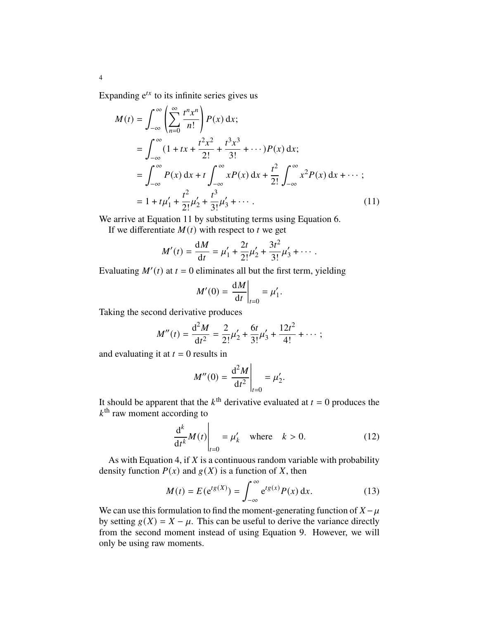Expanding  $e^{tx}$  to its infinite series gives us

4

$$
M(t) = \int_{-\infty}^{\infty} \left( \sum_{n=0}^{\infty} \frac{t^n x^n}{n!} \right) P(x) dx;
$$
  
\n
$$
= \int_{-\infty}^{\infty} (1 + tx + \frac{t^2 x^2}{2!} + \frac{t^3 x^3}{3!} + \cdots) P(x) dx;
$$
  
\n
$$
= \int_{-\infty}^{\infty} P(x) dx + t \int_{-\infty}^{\infty} x P(x) dx + \frac{t^2}{2!} \int_{-\infty}^{\infty} x^2 P(x) dx + \cdots;
$$
  
\n
$$
= 1 + t\mu'_1 + \frac{t^2}{2!} \mu'_2 + \frac{t^3}{3!} \mu'_3 + \cdots.
$$
 (11)

We arrive at Equation 11 by substituting terms using Equation 6.

If we differentiate  $M(t)$  with respect to  $t$  we get

$$
M'(t) = \frac{dM}{dt} = \mu'_1 + \frac{2t}{2!} \mu'_2 + \frac{3t^2}{3!} \mu'_3 + \cdots
$$

Evaluating  $M'(t)$  at  $t = 0$  eliminates all but the first term, yielding

$$
M'(0) = \left. \frac{\mathrm{d}M}{\mathrm{d}t} \right|_{t=0} = \mu'_1.
$$

Taking the second derivative produces

$$
M''(t) = \frac{d^2 M}{dt^2} = \frac{2}{2!} \mu'_2 + \frac{6t}{3!} \mu'_3 + \frac{12t^2}{4!} + \cdots;
$$

and evaluating it at  $t = 0$  results in

$$
M''(0) = \frac{d^2 M}{dt^2}\bigg|_{t=0} = \mu'_2.
$$

It should be apparent that the  $k^{\text{th}}$  derivative evaluated at  $t = 0$  produces the  $k^{\text{th}}$  raw moment according to

$$
\left. \frac{\mathrm{d}^k}{\mathrm{d}t^k} M(t) \right|_{t=0} = \mu'_k \quad \text{where} \quad k > 0. \tag{12}
$$

As with Equation 4, if  $X$  is a continuous random variable with probability density function  $P(x)$  and  $g(X)$  is a function of X, then

$$
M(t) = E(e^{tg(X)}) = \int_{-\infty}^{\infty} e^{tg(x)} P(x) dx.
$$
 (13)

We can use this formulation to find the moment-generating function of  $X - \mu$ by setting  $g(X) = X - \mu$ . This can be useful to derive the variance directly from the second moment instead of using Equation 9. However, we will only be using raw moments.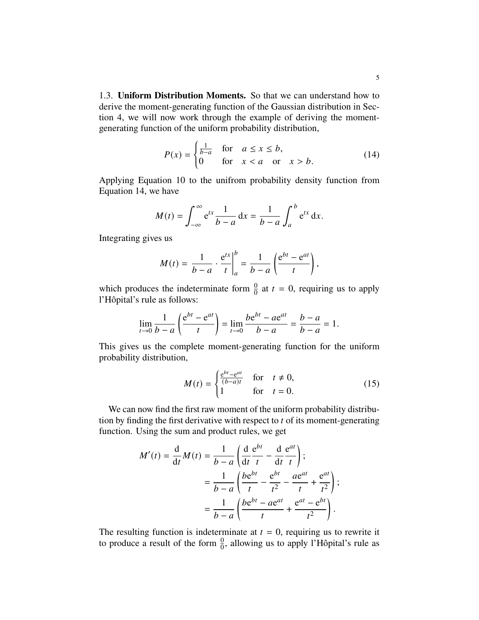1.3. **Uniform Distribution Moments.** So that we can understand how to derive the moment-generating function of the Gaussian distribution in Section 4, we will now work through the example of deriving the momentgenerating function of the uniform probability distribution,

$$
P(x) = \begin{cases} \frac{1}{b-a} & \text{for } a \le x \le b, \\ 0 & \text{for } x < a \quad \text{or } x > b. \end{cases} \tag{14}
$$

Applying Equation 10 to the unifrom probability density function from Equation 14, we have

$$
M(t) = \int_{-\infty}^{\infty} e^{tx} \frac{1}{b-a} dx = \frac{1}{b-a} \int_{a}^{b} e^{tx} dx.
$$

Integrating gives us

$$
M(t) = \frac{1}{b-a} \cdot \frac{e^{tx}}{t} \bigg|_a^b = \frac{1}{b-a} \left( \frac{e^{bt} - e^{at}}{t} \right),
$$

which produces the indeterminate form  $\frac{0}{0}$  at  $t = 0$ , requiring us to apply l'Hôpital's rule as follows:

$$
\lim_{t \to 0} \frac{1}{b-a} \left( \frac{e^{bt} - e^{at}}{t} \right) = \lim_{t \to 0} \frac{be^{bt} - ae^{at}}{b-a} = \frac{b-a}{b-a} = 1.
$$

This gives us the complete moment-generating function for the uniform probability distribution,

$$
M(t) = \begin{cases} \frac{e^{bt} - e^{at}}{(b-a)t} & \text{for } t \neq 0, \\ 1 & \text{for } t = 0. \end{cases}
$$
 (15)

We can now find the first raw moment of the uniform probability distribution by finding the first derivative with respect to  $t$  of its moment-generating function. Using the sum and product rules, we get

$$
M'(t) = \frac{d}{dt}M(t) = \frac{1}{b-a} \left( \frac{d}{dt} \frac{e^{bt}}{t} - \frac{d}{dt} \frac{e^{at}}{t} \right);
$$
  

$$
= \frac{1}{b-a} \left( \frac{be^{bt}}{t} - \frac{e^{bt}}{t^2} - \frac{ae^{at}}{t} + \frac{e^{at}}{t^2} \right);
$$
  

$$
= \frac{1}{b-a} \left( \frac{be^{bt} - ae^{at}}{t} + \frac{e^{at} - e^{bt}}{t^2} \right).
$$

The resulting function is indeterminate at  $t = 0$ , requiring us to rewrite it to produce a result of the form  $\frac{0}{0}$ , allowing us to apply l'Hôpital's rule as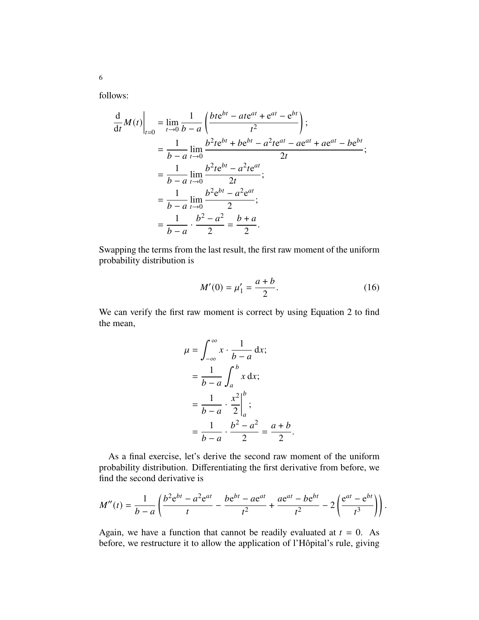follows:

$$
\frac{d}{dt}M(t)\Big|_{t=0} = \lim_{t \to 0} \frac{1}{b-a} \left( \frac{bte^{bt} - ate^{at} + e^{at} - e^{bt}}{t^2} \right);
$$
\n
$$
= \frac{1}{b-a} \lim_{t \to 0} \frac{b^2te^{bt} + be^{bt} - a^2te^{at} - ae^{at} + ae^{at} - be^{bt}}{2t};
$$
\n
$$
= \frac{1}{b-a} \lim_{t \to 0} \frac{b^2te^{bt} - a^2te^{at}}{2t};
$$
\n
$$
= \frac{1}{b-a} \lim_{t \to 0} \frac{b^2e^{bt} - a^2e^{at}}{2};
$$
\n
$$
= \frac{1}{b-a} \cdot \frac{b^2 - a^2}{2} = \frac{b+a}{2}.
$$

Swapping the terms from the last result, the first raw moment of the uniform probability distribution is

$$
M'(0) = \mu'_1 = \frac{a+b}{2}.
$$
 (16)

We can verify the first raw moment is correct by using Equation 2 to find the mean,

$$
\mu = \int_{-\infty}^{\infty} x \cdot \frac{1}{b-a} dx;
$$
  
= 
$$
\frac{1}{b-a} \int_{a}^{b} x dx;
$$
  
= 
$$
\frac{1}{b-a} \cdot \frac{x^2}{2} \Big|_{a}^{b};
$$
  
= 
$$
\frac{1}{b-a} \cdot \frac{b^2 - a^2}{2} = \frac{a+b}{2}.
$$

As a final exercise, let's derive the second raw moment of the uniform probability distribution. Differentiating the first derivative from before, we find the second derivative is

$$
M''(t) = \frac{1}{b-a} \left( \frac{b^2 e^{bt} - a^2 e^{at}}{t} - \frac{be^{bt} - ae^{at}}{t^2} + \frac{ae^{at} - be^{bt}}{t^2} - 2 \left( \frac{e^{at} - e^{bt}}{t^3} \right) \right).
$$

Again, we have a function that cannot be readily evaluated at  $t = 0$ . As before, we restructure it to allow the application of l'Hôpital's rule, giving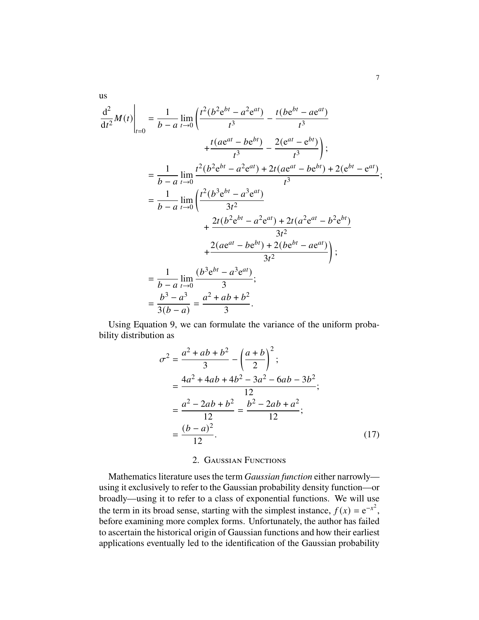$$
\frac{d^{2}}{dt^{2}}M(t)\Big|_{t=0} = \frac{1}{b-a} \lim_{t\to 0} \left(\frac{t^{2}(b^{2}e^{bt}-a^{2}e^{at})}{t^{3}} - \frac{t(be^{bt}-ae^{at})}{t^{3}}\right)
$$
\n
$$
+ \frac{t(ae^{at}-be^{bt})}{t^{3}} - \frac{2(e^{at}-e^{bt})}{t^{3}}\right);
$$
\n
$$
= \frac{1}{b-a} \lim_{t\to 0} \frac{t^{2}(b^{2}e^{bt}-a^{2}e^{at}) + 2t(ae^{at}-be^{bt}) + 2(e^{bt}-e^{at})}{t^{3}};
$$
\n
$$
= \frac{1}{b-a} \lim_{t\to 0} \left(\frac{t^{2}(b^{3}e^{bt}-a^{3}e^{at})}{3t^{2}} + \frac{2t(b^{2}e^{bt}-a^{2}e^{at}) + 2t(a^{2}e^{at}-b^{2}e^{bt})}{3t^{2}}\right);
$$
\n
$$
+ \frac{2(ae^{at}-be^{bt}) + 2(be^{bt}-ae^{at})}{3t^{2}};
$$
\n
$$
= \frac{1}{b-a} \lim_{t\to 0} \frac{(b^{3}e^{bt}-a^{3}e^{at})}{3};
$$
\n
$$
= \frac{b^{3}-a^{3}}{3(b-a)} = \frac{a^{2}+ab+b^{2}}{3}.
$$

Using Equation 9, we can formulate the variance of the uniform probability distribution as

$$
\sigma^2 = \frac{a^2 + ab + b^2}{3} - \left(\frac{a+b}{2}\right)^2;
$$
  
= 
$$
\frac{4a^2 + 4ab + 4b^2 - 3a^2 - 6ab - 3b^2}{12};
$$
  
= 
$$
\frac{a^2 - 2ab + b^2}{12} = \frac{b^2 - 2ab + a^2}{12};
$$
  
= 
$$
\frac{(b-a)^2}{12}.
$$
 (17)

### 2. Gaussian Functions

Mathematics literature uses the term *Gaussian function* either narrowly using it exclusively to refer to the Gaussian probability density function—or broadly—using it to refer to a class of exponential functions. We will use the term in its broad sense, starting with the simplest instance,  $f(x) = e^{-x^2}$ , before examining more complex forms. Unfortunately, the author has failed to ascertain the historical origin of Gaussian functions and how their earliest applications eventually led to the identification of the Gaussian probability

us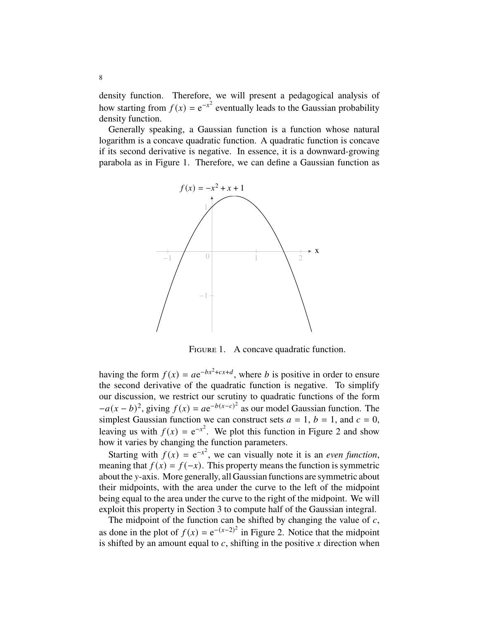density function. Therefore, we will present a pedagogical analysis of how starting from  $f(x) = e^{-x^2}$  eventually leads to the Gaussian probability density function.

Generally speaking, a Gaussian function is a function whose natural logarithm is a concave quadratic function. A quadratic function is concave if its second derivative is negative. In essence, it is a downward-growing parabola as in Figure 1. Therefore, we can define a Gaussian function as



FIGURE 1. A concave quadratic function.

having the form  $f(x) = ae^{-bx^2+cx+d}$ , where *b* is positive in order to ensure the second derivative of the quadratic function is negative. To simplify our discussion, we restrict our scrutiny to quadratic functions of the form  $-a(x - b)^2$ , giving  $f(x) = ae^{-b(x-c)^2}$  as our model Gaussian function. The simplest Gaussian function we can construct sets  $a = 1$ ,  $b = 1$ , and  $c = 0$ , leaving us with  $f(x) = e^{-x^2}$ . We plot this function in Figure 2 and show how it varies by changing the function parameters.

Starting with  $f(x) = e^{-x^2}$ , we can visually note it is an *even function*, meaning that  $f(x) = f(-x)$ . This property means the function is symmetric about the y-axis. More generally, all Gaussian functions are symmetric about their midpoints, with the area under the curve to the left of the midpoint being equal to the area under the curve to the right of the midpoint. We will exploit this property in Section 3 to compute half of the Gaussian integral.

The midpoint of the function can be shifted by changing the value of  $c$ , as done in the plot of  $f(x) = e^{-(x-2)^2}$  in Figure 2. Notice that the midpoint is shifted by an amount equal to c, shifting in the positive x direction when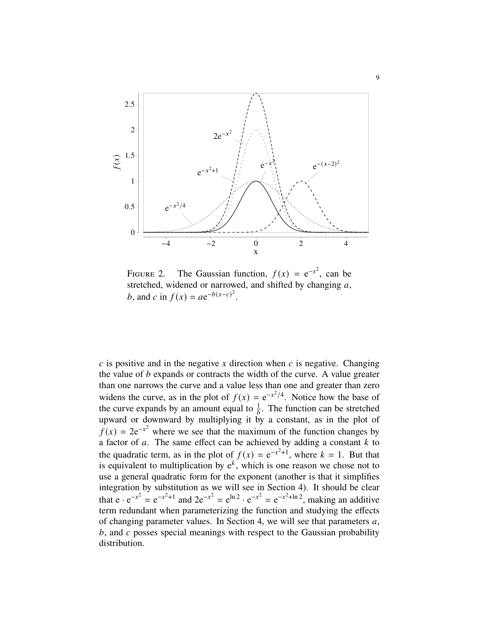

FIGURE 2. The Gaussian function,  $f(x) = e^{-x^2}$ , can be stretched, widened or narrowed, and shifted by changing  $a$ , *b*, and *c* in  $f(x) = ae^{-b(x-c)^2}$ .

 $\tilde{c}$  is positive and in the negative  $\tilde{x}$  direction when  $\tilde{c}$  is negative. Changing the value of  $b$  expands or contracts the width of the curve. A value greater than one narrows the curve and a value less than one and greater than zero widens the curve, as in the plot of  $f(x) = e^{-x^2/4}$ . Notice how the base of the curve expands by an amount equal to  $\frac{1}{b}$ . The function can be stretched upward or downward by multiplying it by a constant, as in the plot of  $f(x) = 2e^{-x^2}$  where we see that the maximum of the function changes by a factor of a. The same effect can be achieved by adding a constant  $k$  to the quadratic term, as in the plot of  $f(x) = e^{-x^2+1}$ , where  $k = 1$ . But that is equivalent to multiplication by  $e^k$ , which is one reason we chose not to use a general quadratic form for the exponent (another is that it simplifies integration by substitution as we will see in Section 4). It should be clear that  $e \cdot e^{-x^2} = e^{-x^2+1}$  and  $2e^{-x^2} = e^{\ln 2} \cdot e^{-x^2} = e^{-x^2+\ln 2}$ , making an additive term redundant when parameterizing the function and studying the effects of changing parameter values. In Section 4, we will see that parameters  $a$ ,  $b$ , and  $c$  posses special meanings with respect to the Gaussian probability distribution.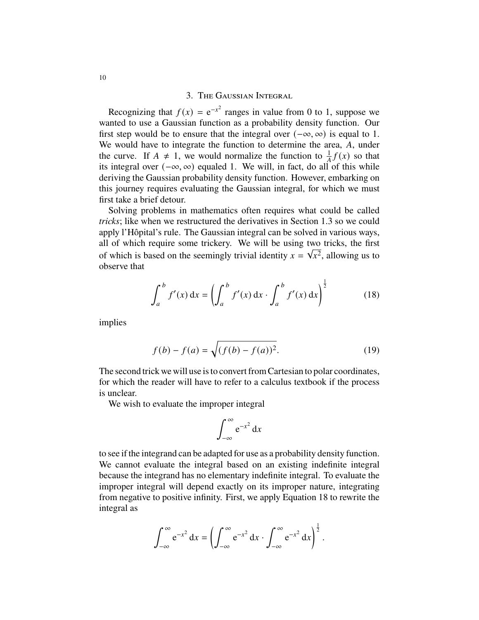## 3. The Gaussian Integral

Recognizing that  $f(x) = e^{-x^2}$  ranges in value from 0 to 1, suppose we wanted to use a Gaussian function as a probability density function. Our first step would be to ensure that the integral over  $(-\infty, \infty)$  is equal to 1. We would have to integrate the function to determine the area,  $A$ , under the curve. If  $A \neq 1$ , we would normalize the function to  $\frac{1}{A}f(x)$  so that its integral over  $(-\infty, \infty)$  equaled 1. We will, in fact, do all of this while deriving the Gaussian probability density function. However, embarking on this journey requires evaluating the Gaussian integral, for which we must first take a brief detour.

Solving problems in mathematics often requires what could be called *tricks*; like when we restructured the derivatives in Section 1.3 so we could apply l'Hôpital's rule. The Gaussian integral can be solved in various ways, all of which require some trickery. We will be using two tricks, the first of which is based on the seemingly trivial identity  $x = \sqrt{x^2}$ , allowing us to observe that

$$
\int_{a}^{b} f'(x) dx = \left( \int_{a}^{b} f'(x) dx \cdot \int_{a}^{b} f'(x) dx \right)^{\frac{1}{2}}
$$
(18)

implies

$$
f(b) - f(a) = \sqrt{(f(b) - f(a))^2}.
$$
 (19)

The second trick we will use is to convert from Cartesian to polar coordinates, for which the reader will have to refer to a calculus textbook if the process is unclear.

We wish to evaluate the improper integral

$$
\int_{-\infty}^{\infty} e^{-x^2} dx
$$

to see if the integrand can be adapted for use as a probability density function. We cannot evaluate the integral based on an existing indefinite integral because the integrand has no elementary indefinite integral. To evaluate the improper integral will depend exactly on its improper nature, integrating from negative to positive infinity. First, we apply Equation 18 to rewrite the integral as

$$
\int_{-\infty}^{\infty} e^{-x^2} dx = \left( \int_{-\infty}^{\infty} e^{-x^2} dx \cdot \int_{-\infty}^{\infty} e^{-x^2} dx \right)^{\frac{1}{2}}.
$$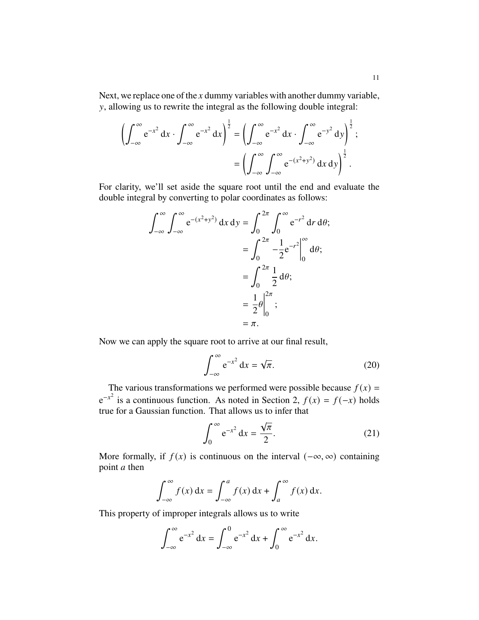Next, we replace one of the  $x$  dummy variables with another dummy variable, , allowing us to rewrite the integral as the following double integral:

$$
\left(\int_{-\infty}^{\infty} e^{-x^2} dx \cdot \int_{-\infty}^{\infty} e^{-x^2} dx\right)^{\frac{1}{2}} = \left(\int_{-\infty}^{\infty} e^{-x^2} dx \cdot \int_{-\infty}^{\infty} e^{-y^2} dy\right)^{\frac{1}{2}};
$$

$$
= \left(\int_{-\infty}^{\infty} \int_{-\infty}^{\infty} e^{-(x^2+y^2)} dx dy\right)^{\frac{1}{2}}.
$$

For clarity, we'll set aside the square root until the end and evaluate the double integral by converting to polar coordinates as follows:

$$
\int_{-\infty}^{\infty} \int_{-\infty}^{\infty} e^{-(x^2 + y^2)} dx dy = \int_{0}^{2\pi} \int_{0}^{\infty} e^{-r^2} dr d\theta;
$$
  

$$
= \int_{0}^{2\pi} -\frac{1}{2} e^{-r^2} \Big|_{0}^{\infty} d\theta;
$$
  

$$
= \int_{0}^{2\pi} \frac{1}{2} d\theta;
$$
  

$$
= \frac{1}{2} \theta \Big|_{0}^{2\pi};
$$
  

$$
= \pi.
$$

Now we can apply the square root to arrive at our final result,

$$
\int_{-\infty}^{\infty} e^{-x^2} dx = \sqrt{\pi}.
$$
 (20)

The various transformations we performed were possible because  $f(x) =$  $e^{-x^2}$  is a continuous function. As noted in Section 2,  $f(x) = f(-x)$  holds true for a Gaussian function. That allows us to infer that

$$
\int_0^\infty e^{-x^2} dx = \frac{\sqrt{\pi}}{2}.
$$
 (21)

More formally, if  $f(x)$  is continuous on the interval  $(-\infty, \infty)$  containing point  $a$  then

$$
\int_{-\infty}^{\infty} f(x) dx = \int_{-\infty}^{a} f(x) dx + \int_{a}^{\infty} f(x) dx.
$$

This property of improper integrals allows us to write

$$
\int_{-\infty}^{\infty} e^{-x^2} dx = \int_{-\infty}^{0} e^{-x^2} dx + \int_{0}^{\infty} e^{-x^2} dx.
$$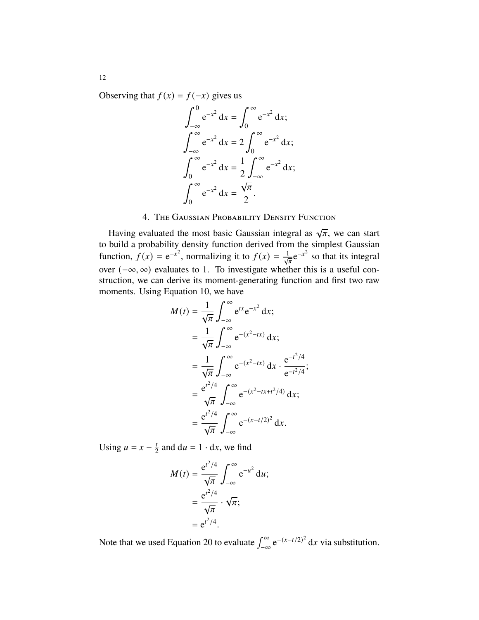Observing that  $f(x) = f(-x)$  gives us

$$
\int_{-\infty}^{0} e^{-x^2} dx = \int_{0}^{\infty} e^{-x^2} dx; \n\int_{-\infty}^{\infty} e^{-x^2} dx = 2 \int_{0}^{\infty} e^{-x^2} dx; \n\int_{0}^{\infty} e^{-x^2} dx = \frac{1}{2} \int_{-\infty}^{\infty} e^{-x^2} dx; \n\int_{0}^{\infty} e^{-x^2} dx = \frac{\sqrt{\pi}}{2}.
$$

# 4. The Gaussian Probability Density Function

Having evaluated the most basic Gaussian integral as  $\sqrt{\pi}$ , we can start to build a probability density function derived from the simplest Gaussian function,  $f(x) = e^{-x^2}$ , normalizing it to  $f(x) = \frac{1}{\sqrt{\pi}} e^{-x^2}$  so that its integral over (−∞, ∞) evaluates to 1. To investigate whether this is a useful construction, we can derive its moment-generating function and first two raw moments. Using Equation 10, we have

$$
M(t) = \frac{1}{\sqrt{\pi}} \int_{-\infty}^{\infty} e^{tx} e^{-x^2} dx;
$$
  
\n
$$
= \frac{1}{\sqrt{\pi}} \int_{-\infty}^{\infty} e^{-(x^2 - tx)} dx;
$$
  
\n
$$
= \frac{1}{\sqrt{\pi}} \int_{-\infty}^{\infty} e^{-(x^2 - tx)} dx \cdot \frac{e^{-t^2/4}}{e^{-t^2/4}};
$$
  
\n
$$
= \frac{e^{t^2/4}}{\sqrt{\pi}} \int_{-\infty}^{\infty} e^{-(x^2 - tx + t^2/4)} dx;
$$
  
\n
$$
= \frac{e^{t^2/4}}{\sqrt{\pi}} \int_{-\infty}^{\infty} e^{-(x - t/2)^2} dx.
$$

Using  $u = x - \frac{t}{2}$  $\frac{t}{2}$  and  $du = 1 \cdot dx$ , we find

$$
M(t) = \frac{e^{t^2/4}}{\sqrt{\pi}} \int_{-\infty}^{\infty} e^{-u^2} du;
$$
  
= 
$$
\frac{e^{t^2/4}}{\sqrt{\pi}} \cdot \sqrt{\pi};
$$
  
= 
$$
e^{t^2/4}.
$$

Note that we used Equation 20 to evaluate  $\int_{-\infty}^{\infty} e^{-(x-t/2)^2} dx$  via substitution.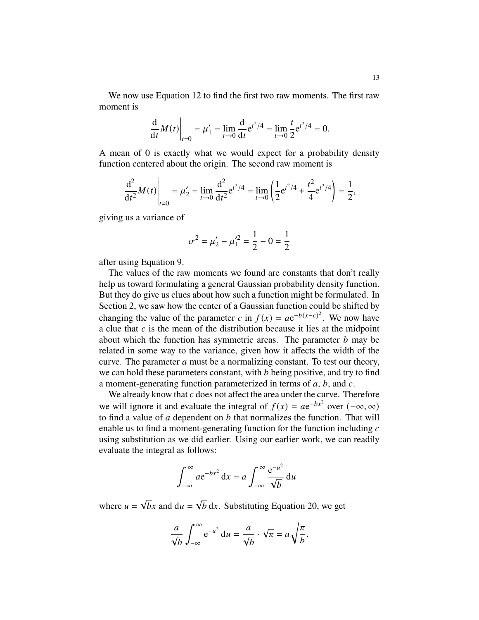We now use Equation 12 to find the first two raw moments. The first raw moment is

$$
\frac{d}{dt}M(t)\Big|_{t=0} = \mu'_1 = \lim_{t \to 0} \frac{d}{dt} e^{t^2/4} = \lim_{t \to 0} \frac{t}{2} e^{t^2/4} = 0.
$$

A mean of 0 is exactly what we would expect for a probability density function centered about the origin. The second raw moment is

$$
\left. \frac{d^2}{dt^2} M(t) \right|_{t=0} = \mu'_2 = \lim_{t \to 0} \frac{d^2}{dt^2} e^{t^2/4} = \lim_{t \to 0} \left( \frac{1}{2} e^{t^2/4} + \frac{t^2}{4} e^{t^2/4} \right) = \frac{1}{2},
$$

giving us a variance of

$$
\sigma^2 = \mu'_2 - \mu'^2_1 = \frac{1}{2} - 0 = \frac{1}{2}
$$

after using Equation 9.

The values of the raw moments we found are constants that don't really help us toward formulating a general Gaussian probability density function. But they do give us clues about how such a function might be formulated. In Section 2, we saw how the center of a Gaussian function could be shifted by changing the value of the parameter c in  $f(x) = ae^{-b(x-c)^2}$ . We now have a clue that  $c$  is the mean of the distribution because it lies at the midpoint about which the function has symmetric areas. The parameter  $b$  may be related in some way to the variance, given how it affects the width of the curve. The parameter  $a$  must be a normalizing constant. To test our theory, we can hold these parameters constant, with  $b$  being positive, and try to find a moment-generating function parameterized in terms of  $a, b$ , and  $c$ .

We already know that  $c$  does not affect the area under the curve. Therefore we will ignore it and evaluate the integral of  $f(x) = ae^{-bx^2}$  over  $(-\infty, \infty)$ to find a value of  $a$  dependent on  $b$  that normalizes the function. That will enable us to find a moment-generating function for the function including  $c$ using substitution as we did earlier. Using our earlier work, we can readily evaluate the integral as follows:

$$
\int_{-\infty}^{\infty} a e^{-bx^2} dx = a \int_{-\infty}^{\infty} \frac{e^{-u^2}}{\sqrt{b}} du
$$

where  $u =$ √  $\overline{b}x$  and  $du =$ √  $\overline{b}$  dx. Substituting Equation 20, we get

$$
\frac{a}{\sqrt{b}}\int_{-\infty}^{\infty}e^{-u^2} du = \frac{a}{\sqrt{b}}\cdot\sqrt{\pi} = a\sqrt{\frac{\pi}{b}}.
$$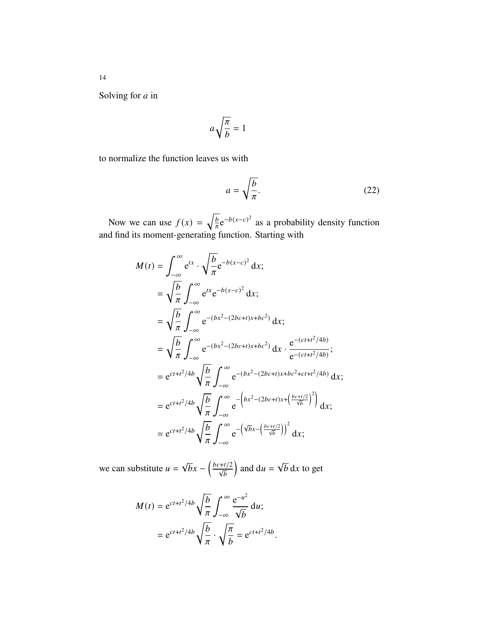Solving for  $a$  in

$$
a\sqrt{\frac{\pi}{b}}=1
$$

to normalize the function leaves us with

$$
a = \sqrt{\frac{b}{\pi}}.\tag{22}
$$

Now we can use  $f(x) = \sqrt{\frac{b}{\pi}}$  $\frac{b}{\pi}e^{-b(x-c)^2}$  as a probability density function and find its moment-generating function. Starting with

$$
M(t) = \int_{-\infty}^{\infty} e^{tx} \cdot \sqrt{\frac{b}{\pi}} e^{-b(x-c)^2} dx; \n= \sqrt{\frac{b}{\pi}} \int_{-\infty}^{\infty} e^{tx} e^{-b(x-c)^2} dx; \n= \sqrt{\frac{b}{\pi}} \int_{-\infty}^{\infty} e^{-(bx^2 - (2bc+t)x + bc^2)} dx; \n= \sqrt{\frac{b}{\pi}} \int_{-\infty}^{\infty} e^{-(bx^2 - (2bc+t)x + bc^2)} dx \cdot \frac{e^{-(ct+t^2/4b)}}{e^{-(ct+t^2/4b)}}; \n= e^{ct+t^2/4b} \sqrt{\frac{b}{\pi}} \int_{-\infty}^{\infty} e^{-(bx^2 - (2bc+t)x + bc^2 + ct+t^2/4b)} dx; \n= e^{ct+t^2/4b} \sqrt{\frac{b}{\pi}} \int_{-\infty}^{\infty} e^{-\left(bx^2 - (2bc+t)x + \left(\frac{bc+t/2}{\sqrt{b}}\right)^2\right)} dx; \n= e^{ct+t^2/4b} \sqrt{\frac{b}{\pi}} \int_{-\infty}^{\infty} e^{-\left(\sqrt{b}x - \left(\frac{bc+t/2}{\sqrt{b}}\right)\right)^2} dx;
$$

we can substitute  $u =$ √  $\overline{b}x - \left(\frac{bc+t/2}{\sqrt{b}}\right)$ ) and du = √  $\overline{b}$  dx to get

$$
M(t) = e^{ct+t^2/4b} \sqrt{\frac{b}{\pi}} \int_{-\infty}^{\infty} \frac{e^{-u^2}}{\sqrt{b}} du;
$$
  
=  $e^{ct+t^2/4b} \sqrt{\frac{b}{\pi}} \cdot \sqrt{\frac{\pi}{b}} = e^{ct+t^2/4b}.$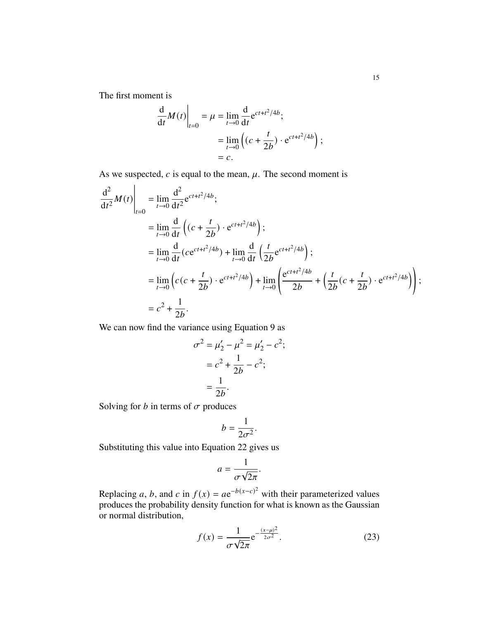The first moment is

$$
\frac{d}{dt}M(t)\Big|_{t=0} = \mu = \lim_{t \to 0} \frac{d}{dt} e^{ct + t^2/4b};
$$

$$
= \lim_{t \to 0} \left( (c + \frac{t}{2b}) \cdot e^{ct + t^2/4b} \right);
$$

$$
= c.
$$

As we suspected,  $c$  is equal to the mean,  $\mu$ . The second moment is

$$
\frac{d^2}{dt^2}M(t)\Big|_{t=0} = \lim_{t\to 0} \frac{d^2}{dt^2}e^{ct+t^2/4b};
$$
\n
$$
= \lim_{t\to 0} \frac{d}{dt}\left((c+\frac{t}{2b})\cdot e^{ct+t^2/4b}\right);
$$
\n
$$
= \lim_{t\to 0} \frac{d}{dt}(ce^{ct+t^2/4b}) + \lim_{t\to 0} \frac{d}{dt}\left(\frac{t}{2b}e^{ct+t^2/4b}\right);
$$
\n
$$
= \lim_{t\to 0} \left(c(c+\frac{t}{2b})\cdot e^{ct+t^2/4b}\right) + \lim_{t\to 0} \left(\frac{e^{ct+t^2/4b}}{2b} + \left(\frac{t}{2b}(c+\frac{t}{2b})\cdot e^{ct+t^2/4b}\right)\right);
$$
\n
$$
= c^2 + \frac{1}{2b}.
$$

We can now find the variance using Equation 9 as

$$
\sigma^2 = \mu'_2 - \mu^2 = \mu'_2 - c^2;
$$
  
=  $c^2 + \frac{1}{2b} - c^2;$   
=  $\frac{1}{2b}.$ 

Solving for  $b$  in terms of  $\sigma$  produces

$$
b=\frac{1}{2\sigma^2}.
$$

Substituting this value into Equation 22 gives us

$$
a=\frac{1}{\sigma\sqrt{2\pi}}.
$$

Replacing a, b, and c in  $f(x) = ae^{-b(x-c)^2}$  with their parameterized values produces the probability density function for what is known as the Gaussian or normal distribution,

$$
f(x) = \frac{1}{\sigma\sqrt{2\pi}} e^{-\frac{(x-\mu)^2}{2\sigma^2}}.
$$
 (23)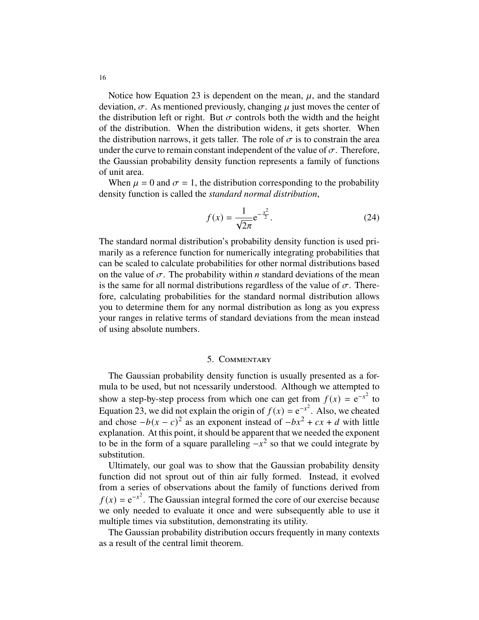Notice how Equation 23 is dependent on the mean,  $\mu$ , and the standard deviation,  $\sigma$ . As mentioned previously, changing  $\mu$  just moves the center of the distribution left or right. But  $\sigma$  controls both the width and the height of the distribution. When the distribution widens, it gets shorter. When the distribution narrows, it gets taller. The role of  $\sigma$  is to constrain the area under the curve to remain constant independent of the value of  $\sigma$ . Therefore, the Gaussian probability density function represents a family of functions of unit area.

When  $\mu = 0$  and  $\sigma = 1$ , the distribution corresponding to the probability density function is called the *standard normal distribution*,

$$
f(x) = \frac{1}{\sqrt{2\pi}} e^{-\frac{x^2}{2}}.
$$
 (24)

The standard normal distribution's probability density function is used primarily as a reference function for numerically integrating probabilities that can be scaled to calculate probabilities for other normal distributions based on the value of  $\sigma$ . The probability within *n* standard deviations of the mean is the same for all normal distributions regardless of the value of  $\sigma$ . Therefore, calculating probabilities for the standard normal distribution allows you to determine them for any normal distribution as long as you express your ranges in relative terms of standard deviations from the mean instead of using absolute numbers.

### 5. Commentary

The Gaussian probability density function is usually presented as a formula to be used, but not ncessarily understood. Although we attempted to show a step-by-step process from which one can get from  $f(x) = e^{-x^2}$  to Equation 23, we did not explain the origin of  $f(x) = e^{-x^2}$ . Also, we cheated and chose  $-b(x - c)^2$  as an exponent instead of  $-bx^2 + cx + d$  with little explanation. At this point, it should be apparent that we needed the exponent to be in the form of a square paralleling  $-x^2$  so that we could integrate by substitution.

Ultimately, our goal was to show that the Gaussian probability density function did not sprout out of thin air fully formed. Instead, it evolved from a series of observations about the family of functions derived from  $f(x) = e^{-x^2}$ . The Gaussian integral formed the core of our exercise because we only needed to evaluate it once and were subsequently able to use it multiple times via substitution, demonstrating its utility.

The Gaussian probability distribution occurs frequently in many contexts as a result of the central limit theorem.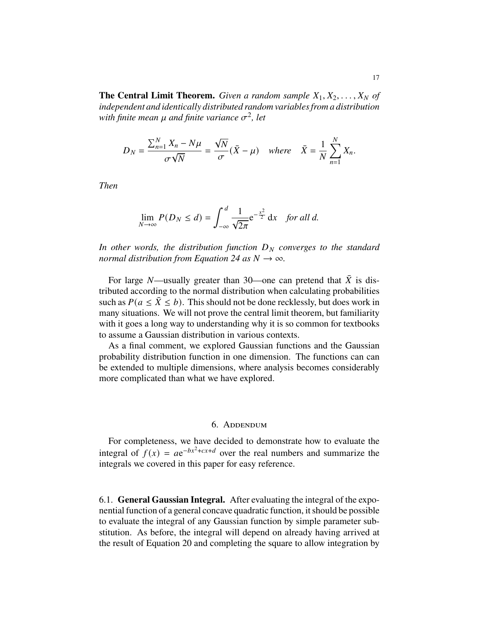**The Central Limit Theorem.** *Given a random sample*  $X_1, X_2, \ldots, X_N$  *of independent and identically distributed random variables from a distribution* with finite mean  $\mu$  and finite variance  $\sigma^2$ , let

$$
D_N = \frac{\sum_{n=1}^N X_n - N\mu}{\sigma \sqrt{N}} = \frac{\sqrt{N}}{\sigma} (\bar{X} - \mu) \quad \text{where} \quad \bar{X} = \frac{1}{N} \sum_{n=1}^N X_n.
$$

*Then*

$$
\lim_{N \to \infty} P(D_N \le d) = \int_{-\infty}^d \frac{1}{\sqrt{2\pi}} e^{-\frac{x^2}{2}} dx \quad \text{for all } d.
$$

In other words, the distribution function  $D<sub>N</sub>$  converges to the standard *normal distribution from Equation 24 as*  $N \rightarrow \infty$ *.* 

For large N—usually greater than 30—one can pretend that  $\bar{X}$  is distributed according to the normal distribution when calculating probabilities such as  $P(a \le \overline{X} \le b)$ . This should not be done recklessly, but does work in many situations. We will not prove the central limit theorem, but familiarity with it goes a long way to understanding why it is so common for textbooks to assume a Gaussian distribution in various contexts.

As a final comment, we explored Gaussian functions and the Gaussian probability distribution function in one dimension. The functions can can be extended to multiple dimensions, where analysis becomes considerably more complicated than what we have explored.

### 6. Addendum

For completeness, we have decided to demonstrate how to evaluate the integral of  $f(x) = ae^{-bx^2+cx+d}$  over the real numbers and summarize the integrals we covered in this paper for easy reference.

6.1. **General Gaussian Integral.** After evaluating the integral of the exponential function of a general concave quadratic function, it should be possible to evaluate the integral of any Gaussian function by simple parameter substitution. As before, the integral will depend on already having arrived at the result of Equation 20 and completing the square to allow integration by